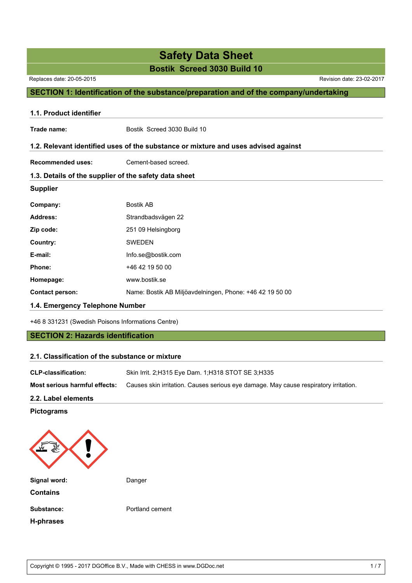#### **Bostik Screed 3030 Build 10**

Replaces date: 20-05-2015 Revision date: 23-02-2017

### **SECTION 1: Identification of the substance/preparation and of the company/undertaking**

| 1.1. Product identifier         |                                                                                    |
|---------------------------------|------------------------------------------------------------------------------------|
| Trade name:                     | Bostik Screed 3030 Build 10                                                        |
|                                 | 1.2. Relevant identified uses of the substance or mixture and uses advised against |
| <b>Recommended uses:</b>        | Cement-based screed.                                                               |
|                                 | 1.3. Details of the supplier of the safety data sheet                              |
| <b>Supplier</b>                 |                                                                                    |
| Company:                        | <b>Bostik AB</b>                                                                   |
| <b>Address:</b>                 | Strandbadsvägen 22                                                                 |
| Zip code:                       | 251 09 Helsingborg                                                                 |
| Country:                        | <b>SWEDEN</b>                                                                      |
| E-mail:                         | Info.se@bostik.com                                                                 |
| Phone:                          | +46 42 19 50 00                                                                    |
| Homepage:                       | www.bostik.se                                                                      |
| <b>Contact person:</b>          | Name: Bostik AB Miljöavdelningen, Phone: +46 42 19 50 00                           |
| 1.4. Emergency Telephone Number |                                                                                    |

+46 8 331231 (Swedish Poisons Informations Centre)

#### **SECTION 2: Hazards identification**

#### **2.1. Classification of the substance or mixture**

| <b>CLP-classification:</b>           | Skin Irrit. 2:H315 Eye Dam. 1:H318 STOT SE 3:H335                                    |  |  |  |  |
|--------------------------------------|--------------------------------------------------------------------------------------|--|--|--|--|
| <b>Most serious harmful effects:</b> | Causes skin irritation. Causes serious eye damage. May cause respiratory irritation. |  |  |  |  |

#### **2.2. Label elements**

#### **Pictograms**



**H-phrases**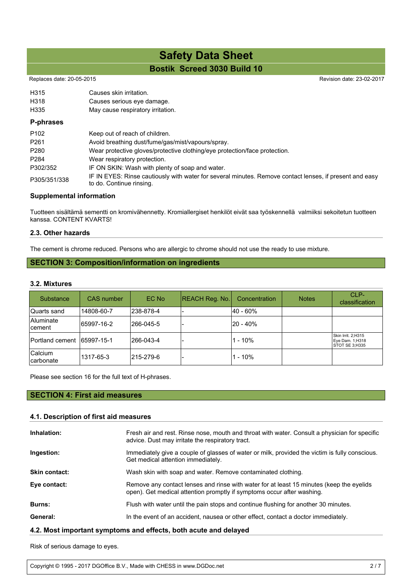## **Bostik Screed 3030 Build 10 Safety Data Sheet**

#### Replaces date: 20-05-2015

| H315             | Causes skin irritation.                                                                                                             |
|------------------|-------------------------------------------------------------------------------------------------------------------------------------|
| H318             | Causes serious eye damage.                                                                                                          |
| H335             | May cause respiratory irritation.                                                                                                   |
| P-phrases        |                                                                                                                                     |
| P <sub>102</sub> | Keep out of reach of children.                                                                                                      |
| P <sub>261</sub> | Avoid breathing dust/fume/gas/mist/vapours/spray.                                                                                   |
| P <sub>280</sub> | Wear protective gloves/protective clothing/eye protection/face protection.                                                          |
| P <sub>284</sub> | Wear respiratory protection.                                                                                                        |
| P302/352         | IF ON SKIN: Wash with plenty of soap and water.                                                                                     |
| P305/351/338     | IF IN EYES: Rinse cautiously with water for several minutes. Remove contact lenses, if present and easy<br>to do. Continue rinsing. |

#### **Supplemental information**

Tuotteen sisältämä sementti on kromivähennetty. Kromiallergiset henkilöt eivät saa työskennellä valmiiksi sekoitetun tuotteen kanssa. CONTENT KVARTS!

#### **2.3. Other hazards**

The cement is chrome reduced. Persons who are allergic to chrome should not use the ready to use mixture.

#### **SECTION 3: Composition/information on ingredients**

#### **3.2. Mixtures**

| Substance                   | <b>CAS</b> number | EC No      | <b>REACH Reg. No.</b> | Concentration | <b>Notes</b> | CLP-<br>classification                                    |
|-----------------------------|-------------------|------------|-----------------------|---------------|--------------|-----------------------------------------------------------|
| Quarts sand                 | 14808-60-7        | 238-878-4  |                       | l40 - 60%     |              |                                                           |
| <b>Aluminate</b><br>lcement | 65997-16-2        | l266-045-5 |                       | 20 - 40%      |              |                                                           |
| Portland cement             | 65997-15-1        | 1266-043-4 |                       | $1 - 10%$     |              | Skin Irrit. 2;H315<br>Eye Dam. 1; H318<br>ISTOT SE 3:H335 |
| Calcium<br>lcarbonate       | 1317-65-3         | 215-279-6  |                       | $1 - 10\%$    |              |                                                           |

Please see section 16 for the full text of H-phrases.

#### **SECTION 4: First aid measures**

#### **4.1. Description of first aid measures**

| Inhalation:          | Fresh air and rest. Rinse nose, mouth and throat with water. Consult a physician for specific<br>advice. Dust may irritate the respiratory tract.                  |  |  |  |  |
|----------------------|--------------------------------------------------------------------------------------------------------------------------------------------------------------------|--|--|--|--|
| Ingestion:           | Immediately give a couple of glasses of water or milk, provided the victim is fully conscious.<br>Get medical attention immediately.                               |  |  |  |  |
| <b>Skin contact:</b> | Wash skin with soap and water. Remove contaminated clothing.                                                                                                       |  |  |  |  |
| Eye contact:         | Remove any contact lenses and rinse with water for at least 15 minutes (keep the eyelids<br>open). Get medical attention promptly if symptoms occur after washing. |  |  |  |  |
| <b>Burns:</b>        | Flush with water until the pain stops and continue flushing for another 30 minutes.                                                                                |  |  |  |  |
| General:             | In the event of an accident, nausea or other effect, contact a doctor immediately.                                                                                 |  |  |  |  |

#### **4.2. Most important symptoms and effects, both acute and delayed**

Risk of serious damage to eyes.

Copyright © 1995 - 2017 DGOffice B.V., Made with CHESS in www.DGDoc.net 2 / 7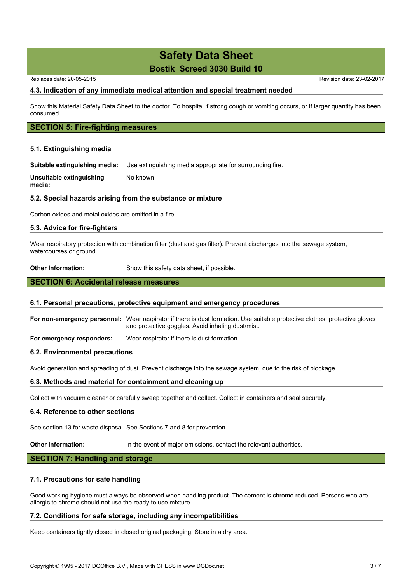#### **Bostik Screed 3030 Build 10**

Replaces date: 20-05-2015 **Replaces** date: 23-02-2017

#### **4.3. Indication of any immediate medical attention and special treatment needed**

Show this Material Safety Data Sheet to the doctor. To hospital if strong cough or vomiting occurs, or if larger quantity has been consumed.

#### **SECTION 5: Fire-fighting measures**

#### **5.1. Extinguishing media**

**Suitable extinguishing media:** Use extinguishing media appropriate for surrounding fire.

**Unsuitable extinguishing media:** No known

#### **5.2. Special hazards arising from the substance or mixture**

Carbon oxides and metal oxides are emitted in a fire.

#### **5.3. Advice for fire-fighters**

Wear respiratory protection with combination filter (dust and gas filter). Prevent discharges into the sewage system, watercourses or ground.

**Other Information:** Show this safety data sheet, if possible.

#### **SECTION 6: Accidental release measures**

#### **6.1. Personal precautions, protective equipment and emergency procedures**

**For non-emergency personnel:** Wear respirator if there is dust formation. Use suitable protective clothes, protective gloves and protective goggles. Avoid inhaling dust/mist.

**For emergency responders:** Wear respirator if there is dust formation.

#### **6.2. Environmental precautions**

Avoid generation and spreading of dust. Prevent discharge into the sewage system, due to the risk of blockage.

#### **6.3. Methods and material for containment and cleaning up**

Collect with vacuum cleaner or carefully sweep together and collect. Collect in containers and seal securely.

#### **6.4. Reference to other sections**

See section 13 for waste disposal. See Sections 7 and 8 for prevention.

**Other Information:** In the event of major emissions, contact the relevant authorities.

#### **SECTION 7: Handling and storage**

#### **7.1. Precautions for safe handling**

Good working hygiene must always be observed when handling product. The cement is chrome reduced. Persons who are allergic to chrome should not use the ready to use mixture.

#### **7.2. Conditions for safe storage, including any incompatibilities**

Keep containers tightly closed in closed original packaging. Store in a dry area.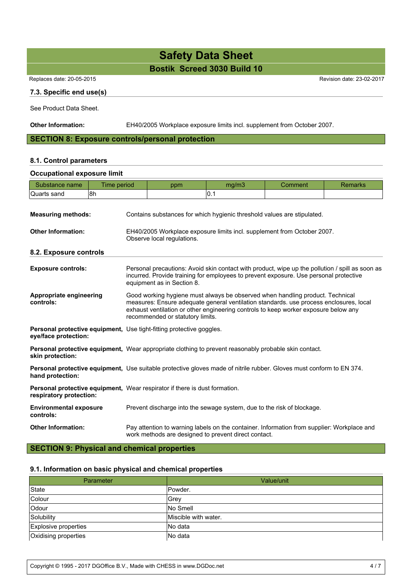**Bostik Screed 3030 Build 10**

Replaces date: 20-05-2015 Revision date: 23-02-2017

#### **7.3. Specific end use(s)**

See Product Data Sheet.

**Other Information:** EH40/2005 Workplace exposure limits incl. supplement from October 2007.

#### **SECTION 8: Exposure controls/personal protection**

#### **8.1. Control parameters**

#### **Occupational exposure limit**

| Time period<br>Substance name                                                                                                                                                                                                                                                                                                              |                                                                        | ppm                                                                                                                                                | mg/m3 | Comment | <b>Remarks</b> |  |  |
|--------------------------------------------------------------------------------------------------------------------------------------------------------------------------------------------------------------------------------------------------------------------------------------------------------------------------------------------|------------------------------------------------------------------------|----------------------------------------------------------------------------------------------------------------------------------------------------|-------|---------|----------------|--|--|
| 8h<br>Quarts sand                                                                                                                                                                                                                                                                                                                          |                                                                        |                                                                                                                                                    | 0.1   |         |                |  |  |
| <b>Measuring methods:</b>                                                                                                                                                                                                                                                                                                                  |                                                                        | Contains substances for which hygienic threshold values are stipulated.                                                                            |       |         |                |  |  |
| <b>Other Information:</b><br>EH40/2005 Workplace exposure limits incl. supplement from October 2007.<br>Observe local regulations.                                                                                                                                                                                                         |                                                                        |                                                                                                                                                    |       |         |                |  |  |
| 8.2. Exposure controls                                                                                                                                                                                                                                                                                                                     |                                                                        |                                                                                                                                                    |       |         |                |  |  |
| Personal precautions: Avoid skin contact with product, wipe up the pollution / spill as soon as<br><b>Exposure controls:</b><br>incurred. Provide training for employees to prevent exposure. Use personal protective<br>equipment as in Section 8.                                                                                        |                                                                        |                                                                                                                                                    |       |         |                |  |  |
| Appropriate engineering<br>Good working hygiene must always be observed when handling product. Technical<br>measures: Ensure adequate general ventilation standards. use process enclosures, local<br>controls:<br>exhaust ventilation or other engineering controls to keep worker exposure below any<br>recommended or statutory limits. |                                                                        |                                                                                                                                                    |       |         |                |  |  |
| eye/face protection:                                                                                                                                                                                                                                                                                                                       |                                                                        | Personal protective equipment, Use tight-fitting protective goggles.                                                                               |       |         |                |  |  |
| skin protection:                                                                                                                                                                                                                                                                                                                           |                                                                        | <b>Personal protective equipment, Wear appropriate clothing to prevent reasonably probable skin contact.</b>                                       |       |         |                |  |  |
| hand protection:                                                                                                                                                                                                                                                                                                                           |                                                                        | Personal protective equipment, Use suitable protective gloves made of nitrile rubber. Gloves must conform to EN 374.                               |       |         |                |  |  |
| respiratory protection:                                                                                                                                                                                                                                                                                                                    |                                                                        | <b>Personal protective equipment, Wear respirator if there is dust formation.</b>                                                                  |       |         |                |  |  |
| <b>Environmental exposure</b><br>controls:                                                                                                                                                                                                                                                                                                 | Prevent discharge into the sewage system, due to the risk of blockage. |                                                                                                                                                    |       |         |                |  |  |
| <b>Other Information:</b>                                                                                                                                                                                                                                                                                                                  |                                                                        | Pay attention to warning labels on the container. Information from supplier: Workplace and<br>work methods are designed to prevent direct contact. |       |         |                |  |  |

#### **SECTION 9: Physical and chemical properties**

#### **9.1. Information on basic physical and chemical properties**

| Parameter            | Value/unit           |  |  |
|----------------------|----------------------|--|--|
| State                | lPowder.             |  |  |
| Colour               | Grev                 |  |  |
| Odour                | No Smell             |  |  |
| Solubility           | Miscible with water. |  |  |
| Explosive properties | INo data             |  |  |
| Oxidising properties | INo data             |  |  |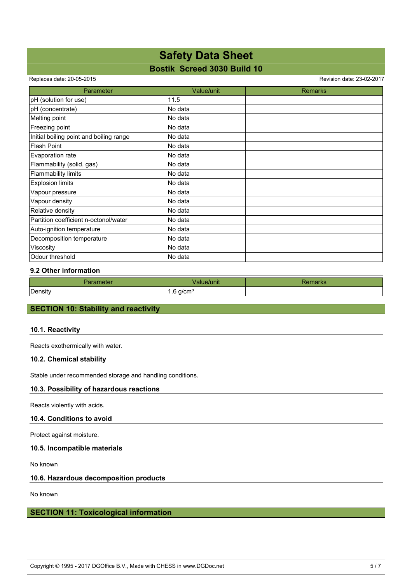### **Bostik Screed 3030 Build 10**

Replaces date: 20-05-2015 Revision date: 23-02-2017

| Parameter                               | Value/unit | <b>Remarks</b> |
|-----------------------------------------|------------|----------------|
| pH (solution for use)                   | 11.5       |                |
| pH (concentrate)                        | No data    |                |
| Melting point                           | No data    |                |
| Freezing point                          | No data    |                |
| Initial boiling point and boiling range | No data    |                |
| <b>Flash Point</b>                      | No data    |                |
| Evaporation rate                        | No data    |                |
| Flammability (solid, gas)               | No data    |                |
| Flammability limits                     | No data    |                |
| <b>Explosion limits</b>                 | No data    |                |
| Vapour pressure                         | No data    |                |
| Vapour density                          | No data    |                |
| Relative density                        | No data    |                |
| Partition coefficient n-octonol/water   | No data    |                |
| Auto-ignition temperature               | No data    |                |
| Decomposition temperature               | No data    |                |
| Viscosity                               | No data    |                |
| Odour threshold                         | No data    |                |

#### **9.2 Other information**

| <b>NGLO.</b> | чш                    |  |
|--------------|-----------------------|--|
| Density      | n/rm<br>וווט<br><br>ີ |  |

#### **SECTION 10: Stability and reactivity**

#### **10.1. Reactivity**

Reacts exothermically with water.

#### **10.2. Chemical stability**

Stable under recommended storage and handling conditions.

#### **10.3. Possibility of hazardous reactions**

Reacts violently with acids.

#### **10.4. Conditions to avoid**

Protect against moisture.

#### **10.5. Incompatible materials**

No known

#### **10.6. Hazardous decomposition products**

No known

#### **SECTION 11: Toxicological information**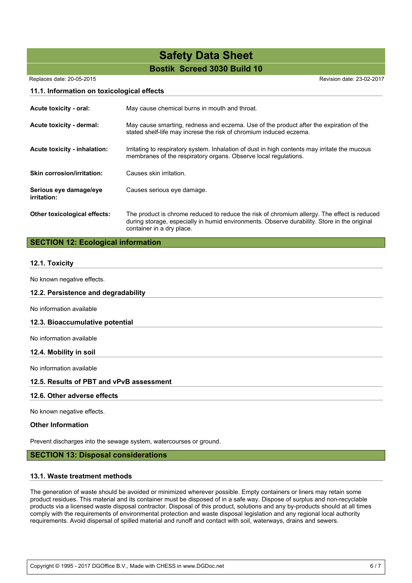## **Bostik Screed 3030 Build 10 Safety Data Sheet**

Replaces date: 20-05-2015 Revision date: 23-02-2017

#### **11.1. Information on toxicological effects**

| Acute toxicity - oral:                | May cause chemical burns in mouth and throat.                                                                                                                                                                           |  |  |  |
|---------------------------------------|-------------------------------------------------------------------------------------------------------------------------------------------------------------------------------------------------------------------------|--|--|--|
| Acute toxicity - dermal:              | May cause smarting, redness and eczema. Use of the product after the expiration of the<br>stated shelf-life may increse the risk of chromium induced eczema.                                                            |  |  |  |
| Acute toxicity - inhalation:          | Irritating to respiratory system. Inhalation of dust in high contents may irritate the mucous<br>membranes of the respiratory organs. Observe local regulations.                                                        |  |  |  |
| <b>Skin corrosion/irritation:</b>     | Causes skin irritation.                                                                                                                                                                                                 |  |  |  |
| Serious eye damage/eye<br>irritation: | Causes serious eye damage.                                                                                                                                                                                              |  |  |  |
| Other toxicological effects:          | The product is chrome reduced to reduce the risk of chromium allergy. The effect is reduced<br>during storage, especially in humid environments. Observe durability. Store in the original<br>container in a dry place. |  |  |  |

#### **SECTION 12: Ecological information**

#### **12.1. Toxicity**

No known negative effects.

#### **12.2. Persistence and degradability**

No information available

#### **12.3. Bioaccumulative potential**

No information available

#### **12.4. Mobility in soil**

No information available

#### **12.5. Results of PBT and vPvB assessment**

#### **12.6. Other adverse effects**

No known negative effects.

#### **Other Information**

Prevent discharges into the sewage system, watercourses or ground.

#### **SECTION 13: Disposal considerations**

#### **13.1. Waste treatment methods**

The generation of waste should be avoided or minimized wherever possible. Empty containers or liners may retain some product residues. This material and its container must be disposed of in a safe way. Dispose of surplus and non-recyclable products via a licensed waste disposal contractor. Disposal of this product, solutions and any by-products should at all times comply with the requirements of environmental protection and waste disposal legislation and any regional local authority requirements. Avoid dispersal of spilled material and runoff and contact with soil, waterways, drains and sewers.